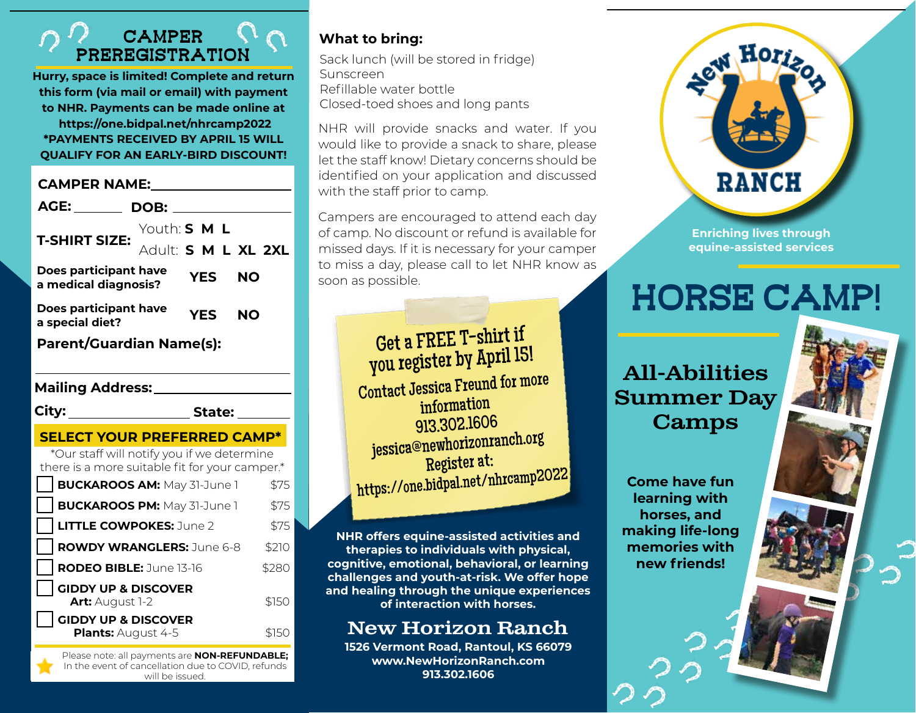## **CAMPER** preregistration

**Hurry, space is limited! Complete and return this form (via mail or email) with payment to NHR. Payments can be made online at https://one.bidpal.net/nhrcamp2022 \*PAYMENTS RECEIVED BY APRIL 15 WILL QUALIFY FOR AN EARLY-BIRD DISCOUNT!**

| <b>CAMPER NAME:</b>                                                                                                                                                                                                                    |       |
|----------------------------------------------------------------------------------------------------------------------------------------------------------------------------------------------------------------------------------------|-------|
| AGE: The contract of the contract of the contract of the contract of the contract of the contract of the contract of the contract of the contract of the contract of the contract of the contract of the contract of the contr<br>DOB: |       |
| Youth: S M L<br><b>T-SHIRT SIZE:</b><br>Adult: S M L XL 2XL                                                                                                                                                                            |       |
| Does participant have<br><b>YES</b><br><b>NO</b><br>a medical diagnosis?                                                                                                                                                               |       |
| Does participant have<br><b>YES</b><br><b>NO</b><br>a special diet?                                                                                                                                                                    |       |
| <b>Parent/Guardian Name(s):</b>                                                                                                                                                                                                        |       |
|                                                                                                                                                                                                                                        |       |
| <b>City:</b><br><b>State:</b>                                                                                                                                                                                                          |       |
| <b>SELECT YOUR PREFERRED CAMP*</b>                                                                                                                                                                                                     |       |
| *Our staff will notify you if we determine<br>there is a more suitable fit for your camper.*                                                                                                                                           |       |
| <b>BUCKAROOS AM: May 31-June 1</b>                                                                                                                                                                                                     | \$75  |
| <b>BUCKAROOS PM: May 31-June 1</b>                                                                                                                                                                                                     | \$75  |
| <b>LITTLE COWPOKES: June 2</b>                                                                                                                                                                                                         | \$75  |
| <b>ROWDY WRANGLERS: June 6-8</b>                                                                                                                                                                                                       | \$210 |
| RODEO BIBLE: June 13-16                                                                                                                                                                                                                | \$280 |
| <b>GIDDY UP &amp; DISCOVER</b><br>Art: August 1-2                                                                                                                                                                                      | \$150 |
| <b>GIDDY UP &amp; DISCOVER</b><br>Plants: August 4-5<br>Digase note: all payments are <b>NON-DEELINDARLE</b>                                                                                                                           | \$150 |

Please note: all payments are **NON-REFUNDABLE;** In the event of cancellation due to COVID, refunds will be issued.

### **What to bring:**

Sack lunch (will be stored in fridge) Sunscreen Refillable water bottle Closed-toed shoes and long pants

NHR will provide snacks and water. If you would like to provide a snack to share, please let the staff know! Dietary concerns should be identified on your application and discussed with the staff prior to camp.

Campers are encouraged to attend each day of camp. No discount or refund is available for missed days. If it is necessary for your camper to miss a day, please call to let NHR know as soon as possible.



**Enriching lives through equine-assisted services**

# Horse Camp!

# All-Abilities Summer Day Camps

**Come have fun learning with horses, and making life-long memories with new friends!**

Get a FREE T-shirt if you register by April 15! Contact Jessica Freund for more information 913.302.1606 jessica@newhorizonranch.org Register at: https://one.bidpal.net/nhrcamp2022

**NHR offers equine-assisted activities and therapies to individuals with physical, cognitive, emotional, behavioral, or learning challenges and youth-at-risk. We offer hope and healing through the unique experiences of interaction with horses.** 

# New Horizon Ranch

**1526 Vermont Road, Rantoul, KS 66079 www.NewHorizonRanch.com 913.302.1606**